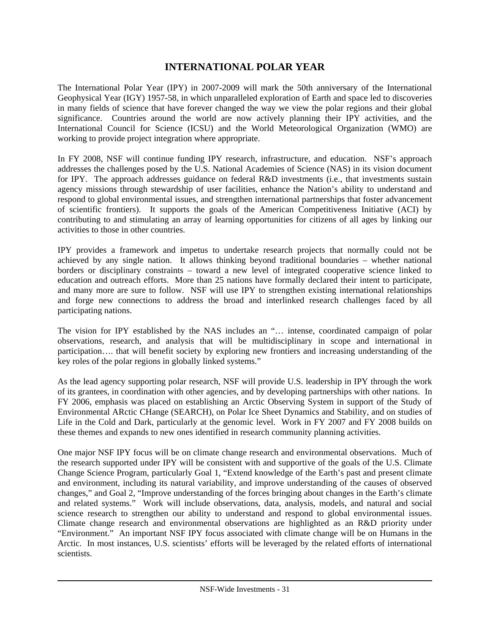## **INTERNATIONAL POLAR YEAR**

The International Polar Year (IPY) in 2007-2009 will mark the 50th anniversary of the International Geophysical Year (IGY) 1957-58, in which unparalleled exploration of Earth and space led to discoveries in many fields of science that have forever changed the way we view the polar regions and their global significance. Countries around the world are now actively planning their IPY activities, and the International Council for Science (ICSU) and the World Meteorological Organization (WMO) are working to provide project integration where appropriate.

In FY 2008, NSF will continue funding IPY research, infrastructure, and education. NSF's approach addresses the challenges posed by the U.S. National Academies of Science (NAS) in its vision document for IPY. The approach addresses guidance on federal R&D investments (i.e., that investments sustain agency missions through stewardship of user facilities, enhance the Nation's ability to understand and respond to global environmental issues, and strengthen international partnerships that foster advancement of scientific frontiers). It supports the goals of the American Competitiveness Initiative (ACI) by contributing to and stimulating an array of learning opportunities for citizens of all ages by linking our activities to those in other countries.

IPY provides a framework and impetus to undertake research projects that normally could not be achieved by any single nation. It allows thinking beyond traditional boundaries – whether national borders or disciplinary constraints – toward a new level of integrated cooperative science linked to education and outreach efforts. More than 25 nations have formally declared their intent to participate, and many more are sure to follow. NSF will use IPY to strengthen existing international relationships and forge new connections to address the broad and interlinked research challenges faced by all participating nations.

The vision for IPY established by the NAS includes an "… intense, coordinated campaign of polar observations, research, and analysis that will be multidisciplinary in scope and international in participation…. that will benefit society by exploring new frontiers and increasing understanding of the key roles of the polar regions in globally linked systems."

As the lead agency supporting polar research, NSF will provide U.S. leadership in IPY through the work of its grantees, in coordination with other agencies, and by developing partnerships with other nations. In FY 2006, emphasis was placed on establishing an Arctic Observing System in support of the Study of Environmental ARctic CHange (SEARCH), on Polar Ice Sheet Dynamics and Stability, and on studies of Life in the Cold and Dark, particularly at the genomic level. Work in FY 2007 and FY 2008 builds on these themes and expands to new ones identified in research community planning activities.

One major NSF IPY focus will be on climate change research and environmental observations. Much of the research supported under IPY will be consistent with and supportive of the goals of the U.S. Climate Change Science Program, particularly Goal 1, "Extend knowledge of the Earth's past and present climate and environment, including its natural variability, and improve understanding of the causes of observed changes," and Goal 2, "Improve understanding of the forces bringing about changes in the Earth's climate and related systems." Work will include observations, data, analysis, models, and natural and social science research to strengthen our ability to understand and respond to global environmental issues. Climate change research and environmental observations are highlighted as an R&D priority under "Environment." An important NSF IPY focus associated with climate change will be on Humans in the Arctic. In most instances, U.S. scientists' efforts will be leveraged by the related efforts of international scientists.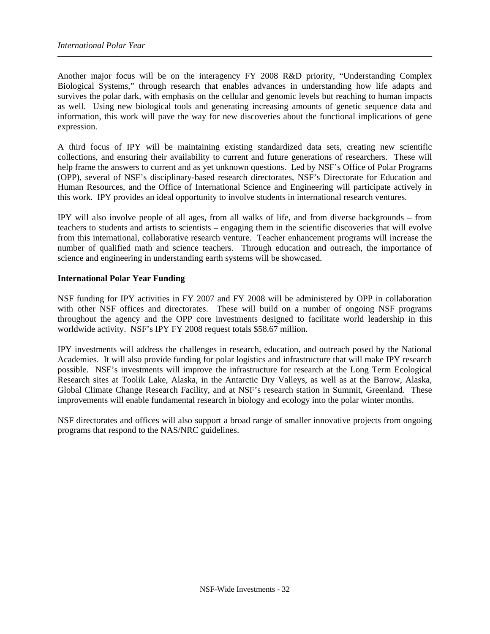Another major focus will be on the interagency FY 2008 R&D priority, "Understanding Complex Biological Systems," through research that enables advances in understanding how life adapts and survives the polar dark, with emphasis on the cellular and genomic levels but reaching to human impacts as well. Using new biological tools and generating increasing amounts of genetic sequence data and information, this work will pave the way for new discoveries about the functional implications of gene expression.

A third focus of IPY will be maintaining existing standardized data sets, creating new scientific collections, and ensuring their availability to current and future generations of researchers. These will help frame the answers to current and as yet unknown questions. Led by NSF's Office of Polar Programs (OPP), several of NSF's disciplinary-based research directorates, NSF's Directorate for Education and Human Resources, and the Office of International Science and Engineering will participate actively in this work. IPY provides an ideal opportunity to involve students in international research ventures.

IPY will also involve people of all ages, from all walks of life, and from diverse backgrounds – from teachers to students and artists to scientists – engaging them in the scientific discoveries that will evolve from this international, collaborative research venture. Teacher enhancement programs will increase the number of qualified math and science teachers. Through education and outreach, the importance of science and engineering in understanding earth systems will be showcased.

#### **International Polar Year Funding**

NSF funding for IPY activities in FY 2007 and FY 2008 will be administered by OPP in collaboration with other NSF offices and directorates. These will build on a number of ongoing NSF programs throughout the agency and the OPP core investments designed to facilitate world leadership in this worldwide activity. NSF's IPY FY 2008 request totals \$58.67 million.

IPY investments will address the challenges in research, education, and outreach posed by the National Academies. It will also provide funding for polar logistics and infrastructure that will make IPY research possible. NSF's investments will improve the infrastructure for research at the Long Term Ecological Research sites at Toolik Lake, Alaska, in the Antarctic Dry Valleys, as well as at the Barrow, Alaska, Global Climate Change Research Facility, and at NSF's research station in Summit, Greenland. These improvements will enable fundamental research in biology and ecology into the polar winter months.

NSF directorates and offices will also support a broad range of smaller innovative projects from ongoing programs that respond to the NAS/NRC guidelines.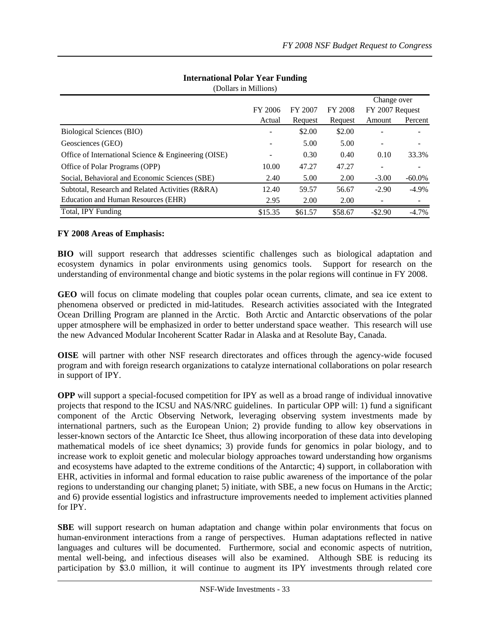|                                                      |         |         |         | Change over<br>FY 2007 Request |           |
|------------------------------------------------------|---------|---------|---------|--------------------------------|-----------|
|                                                      | FY 2006 | FY 2007 | FY 2008 |                                |           |
|                                                      | Actual  | Request | Request | Amount                         | Percent   |
| Biological Sciences (BIO)                            | ٠       | \$2.00  | \$2.00  |                                |           |
| Geosciences (GEO)                                    |         | 5.00    | 5.00    |                                |           |
| Office of International Science & Engineering (OISE) |         | 0.30    | 0.40    | 0.10                           | 33.3%     |
| Office of Polar Programs (OPP)                       | 10.00   | 47.27   | 47.27   |                                | ۰         |
| Social, Behavioral and Economic Sciences (SBE)       | 2.40    | 5.00    | 2.00    | $-3.00$                        | $-60.0\%$ |
| Subtotal, Research and Related Activities (R&RA)     | 12.40   | 59.57   | 56.67   | $-2.90$                        | $-4.9\%$  |
| Education and Human Resources (EHR)                  | 2.95    | 2.00    | 2.00    |                                |           |
| Total, IPY Funding                                   | \$15.35 | \$61.57 | \$58.67 | $-$ \$2.90                     | $-4.7%$   |

# **International Polar Year Funding**

(Dollars in Millions)

### **FY 2008 Areas of Emphasis:**

**BIO** will support research that addresses scientific challenges such as biological adaptation and ecosystem dynamics in polar environments using genomics tools. Support for research on the understanding of environmental change and biotic systems in the polar regions will continue in FY 2008.

**GEO** will focus on climate modeling that couples polar ocean currents, climate, and sea ice extent to phenomena observed or predicted in mid-latitudes. Research activities associated with the Integrated Ocean Drilling Program are planned in the Arctic. Both Arctic and Antarctic observations of the polar upper atmosphere will be emphasized in order to better understand space weather. This research will use the new Advanced Modular Incoherent Scatter Radar in Alaska and at Resolute Bay, Canada.

**OISE** will partner with other NSF research directorates and offices through the agency-wide focused program and with foreign research organizations to catalyze international collaborations on polar research in support of IPY.

**OPP** will support a special-focused competition for IPY as well as a broad range of individual innovative projects that respond to the ICSU and NAS/NRC guidelines. In particular OPP will: 1) fund a significant component of the Arctic Observing Network, leveraging observing system investments made by international partners, such as the European Union; 2) provide funding to allow key observations in lesser-known sectors of the Antarctic Ice Sheet, thus allowing incorporation of these data into developing mathematical models of ice sheet dynamics; 3) provide funds for genomics in polar biology, and to increase work to exploit genetic and molecular biology approaches toward understanding how organisms and ecosystems have adapted to the extreme conditions of the Antarctic; 4) support, in collaboration with EHR, activities in informal and formal education to raise public awareness of the importance of the polar regions to understanding our changing planet; 5) initiate, with SBE, a new focus on Humans in the Arctic; and 6) provide essential logistics and infrastructure improvements needed to implement activities planned for IPY.

**SBE** will support research on human adaptation and change within polar environments that focus on human-environment interactions from a range of perspectives. Human adaptations reflected in native languages and cultures will be documented. Furthermore, social and economic aspects of nutrition, mental well-being, and infectious diseases will also be examined. Although SBE is reducing its participation by \$3.0 million, it will continue to augment its IPY investments through related core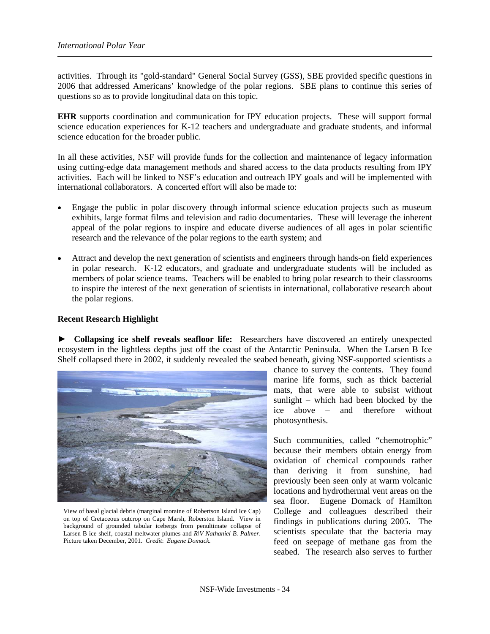activities. Through its "gold-standard" General Social Survey (GSS), SBE provided specific questions in 2006 that addressed Americans' knowledge of the polar regions. SBE plans to continue this series of questions so as to provide longitudinal data on this topic.

**EHR** supports coordination and communication for IPY education projects. These will support formal science education experiences for K-12 teachers and undergraduate and graduate students, and informal science education for the broader public.

In all these activities, NSF will provide funds for the collection and maintenance of legacy information using cutting-edge data management methods and shared access to the data products resulting from IPY activities. Each will be linked to NSF's education and outreach IPY goals and will be implemented with international collaborators. A concerted effort will also be made to:

- Engage the public in polar discovery through informal science education projects such as museum exhibits, large format films and television and radio documentaries. These will leverage the inherent appeal of the polar regions to inspire and educate diverse audiences of all ages in polar scientific research and the relevance of the polar regions to the earth system; and
- Attract and develop the next generation of scientists and engineers through hands-on field experiences in polar research. K-12 educators, and graduate and undergraduate students will be included as members of polar science teams. Teachers will be enabled to bring polar research to their classrooms to inspire the interest of the next generation of scientists in international, collaborative research about the polar regions.

#### **Recent Research Highlight**

► **Collapsing ice shelf reveals seafloor life:** Researchers have discovered an entirely unexpected ecosystem in the lightless depths just off the coast of the Antarctic Peninsula. When the Larsen B Ice Shelf collapsed there in 2002, it suddenly revealed the seabed beneath, giving NSF-supported scientists a



View of basal glacial debris (marginal moraine of Robertson Island Ice Cap) on top of Cretaceous outcrop on Cape Marsh, Roberston Island. View in background of grounded tabular icebergs from penultimate collapse of Larsen B ice shelf, coastal meltwater plumes and *R\V Nathaniel B. Palmer*. Picture taken December, 2001. *Credit*: *Eugene Domack.* 

chance to survey the contents. They found marine life forms, such as thick bacterial mats, that were able to subsist without sunlight – which had been blocked by the ice above – and therefore without photosynthesis.

Such communities, called "chemotrophic" because their members obtain energy from oxidation of chemical compounds rather than deriving it from sunshine, had previously been seen only at warm volcanic locations and hydrothermal vent areas on the sea floor. Eugene Domack of Hamilton College and colleagues described their findings in publications during 2005. The scientists speculate that the bacteria may feed on seepage of methane gas from the seabed. The research also serves to further